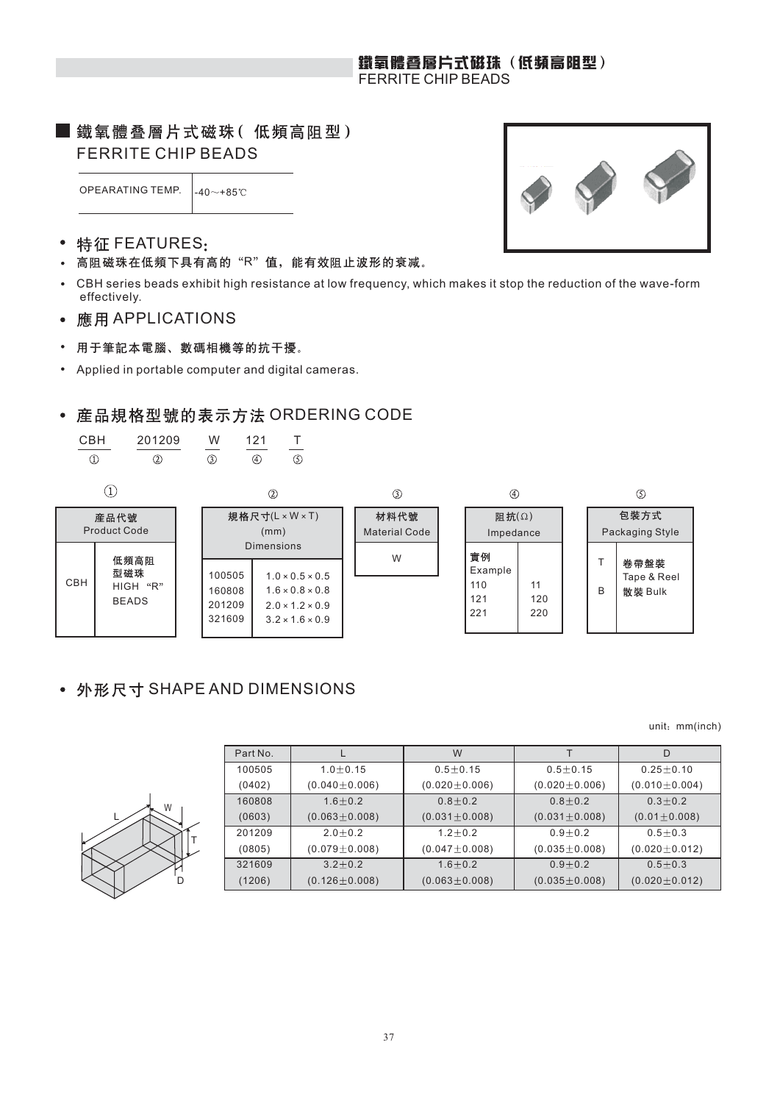### 鐵氧體叠層片式磁珠(低頻高阻型) FERRITE CHIP BEADS

## ■ 鐵氧體叠層片式磁珠(低頻高阻型) FERRITE CHIP BEADS

OPEARATING TEMP.  $\begin{bmatrix} 40 \\ -49 \\ -85 \end{bmatrix}$ 

#### 特征 FEATURES:  $\bullet$

- 高阻磁珠在低頻下具有高的"R"值,能有效阻止波形的衰减。  $\bullet$
- CBH series beads exhibit high resistance at low frequency, which makes it stop the reduction of the wave-form effectively.
- 應用 APPLICATIONS  $\bullet$

 $\circled{1}$ 

用于筆記本電腦、數碼相機等的抗干擾。  $\bullet$ 

CBH 201209 W 121 T

 $(2)$ 

Applied in portable computer and digital cameras.  $\bullet$ 

 $\overline{\circ}$ 

## • 産品規格型號的表示方法 ORDERING CODE

 $\overline{\circ}$ 

 $\overline{\mathcal{B}}$ 



## • 外形尺寸 SHAPE AND DIMENSIONS

unit: mm(inch)

| Part No. |         |
|----------|---------|
| 100505   | 1.0:    |
| (0402)   | (0.040) |
|          |         |



| Part No. |                     | W                   |                     |                     |
|----------|---------------------|---------------------|---------------------|---------------------|
| 100505   | $1.0 + 0.15$        | $0.5 + 0.15$        | $0.5 + 0.15$        | $0.25 \pm 0.10$     |
| (0402)   | $(0.040 \pm 0.006)$ | $(0.020 \pm 0.006)$ | $(0.020 \pm 0.006)$ | $(0.010 \pm 0.004)$ |
| 160808   | $1.6 + 0.2$         | $0.8 \pm 0.2$       | $0.8 + 0.2$         | $0.3 + 0.2$         |
| (0603)   | $(0.063 \pm 0.008)$ | $(0.031 \pm 0.008)$ | $(0.031 \pm 0.008)$ | $(0.01 \pm 0.008)$  |
| 201209   | $2.0 + 0.2$         | $1.2 + 0.2$         | $0.9 + 0.2$         | $0.5 + 0.3$         |
| (0805)   | $(0.079 \pm 0.008)$ | $(0.047 \pm 0.008)$ | $(0.035 \pm 0.008)$ | $(0.020 \pm 0.012)$ |
| 321609   | $3.2 + 0.2$         | $1.6 + 0.2$         | $0.9 + 0.2$         | $0.5 + 0.3$         |
| (1206)   | $(0.126 \pm 0.008)$ | $(0.063 \pm 0.008)$ | $(0.035 \pm 0.008)$ | $(0.020 \pm 0.012)$ |

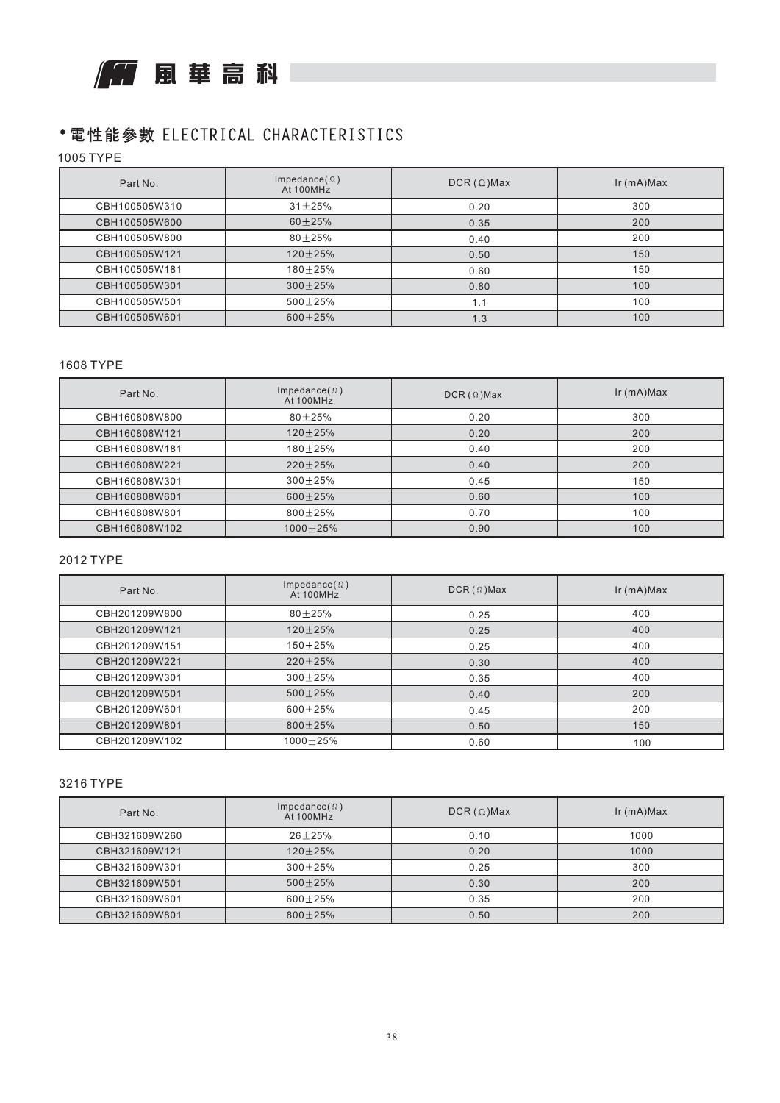

## • 電性能參數 ELECTRICAL CHARACTERISTICS

1005 TYPE

| Part No.      | Impedance( $\Omega$ )<br>At 100MHz | $DCR(\Omega)$ Max | $lr$ (mA) $Max$ |
|---------------|------------------------------------|-------------------|-----------------|
| CBH100505W310 | $31 + 25%$                         | 0.20              | 300             |
| CBH100505W600 | $60 + 25%$                         | 0.35              | 200             |
| CBH100505W800 | $80 + 25%$                         | 0.40              | 200             |
| CBH100505W121 | $120 + 25%$                        | 0.50              | 150             |
| CBH100505W181 | $180 + 25%$                        | 0.60              | 150             |
| CBH100505W301 | $300 + 25%$                        | 0.80              | 100             |
| CBH100505W501 | $500 + 25%$                        | 1.1               | 100             |
| CBH100505W601 | $600 + 25%$                        | 1.3               | 100             |

#### 1608 TYPE

| Part No.      | Impedance( $\Omega$ )<br>At 100MHz | $DCR ( \Omega )$ Max | $lr$ (mA) $Max$ |
|---------------|------------------------------------|----------------------|-----------------|
| CBH160808W800 | $80 + 25%$                         | 0.20                 | 300             |
| CBH160808W121 | $120 + 25%$                        | 0.20                 | 200             |
| CBH160808W181 | $180 + 25%$                        | 0.40                 | 200             |
| CBH160808W221 | $220 \pm 25\%$                     | 0.40                 | 200             |
| CBH160808W301 | $300 + 25%$                        | 0.45                 | 150             |
| CBH160808W601 | $600 + 25%$                        | 0.60                 | 100             |
| CBH160808W801 | $800 + 25%$                        | 0.70                 | 100             |
| CBH160808W102 | $1000 \pm 25\%$                    | 0.90                 | 100             |

#### 2012 TYPE

| Part No.      | Impedance( $\Omega$ )<br>At 100MHz | $DCR ( \Omega ) Max$ | $lr$ (mA) $Max$ |
|---------------|------------------------------------|----------------------|-----------------|
| CBH201209W800 | $80 + 25%$                         | 0.25                 | 400             |
| CBH201209W121 | $120 \pm 25\%$                     | 0.25                 | 400             |
| CBH201209W151 | $150 + 25%$                        | 0.25                 | 400             |
| CBH201209W221 | $220 + 25%$                        | 0.30                 | 400             |
| CBH201209W301 | $300 + 25%$                        | 0.35                 | 400             |
| CBH201209W501 | $500 + 25%$                        | 0.40                 | 200             |
| CBH201209W601 | $600 + 25%$                        | 0.45                 | 200             |
| CBH201209W801 | $800 + 25%$                        | 0.50                 | 150             |
| CBH201209W102 | $1000 + 25%$                       | 0.60                 | 100             |

#### 3216 TYPE

| Part No.      | Impedance( $\Omega$ )<br>At 100MHz | $DCR(\Omega)$ Max | $lr$ (mA) $Max$ |
|---------------|------------------------------------|-------------------|-----------------|
| CBH321609W260 | $26 + 25%$                         | 0.10              | 1000            |
| CBH321609W121 | $120 + 25%$                        | 0.20              | 1000            |
| CBH321609W301 | $300 + 25%$                        | 0.25              | 300             |
| CBH321609W501 | $500 + 25%$                        | 0.30              | 200             |
| CBH321609W601 | $600 + 25%$                        | 0.35              | 200             |
| CBH321609W801 | $800 + 25%$                        | 0.50              | 200             |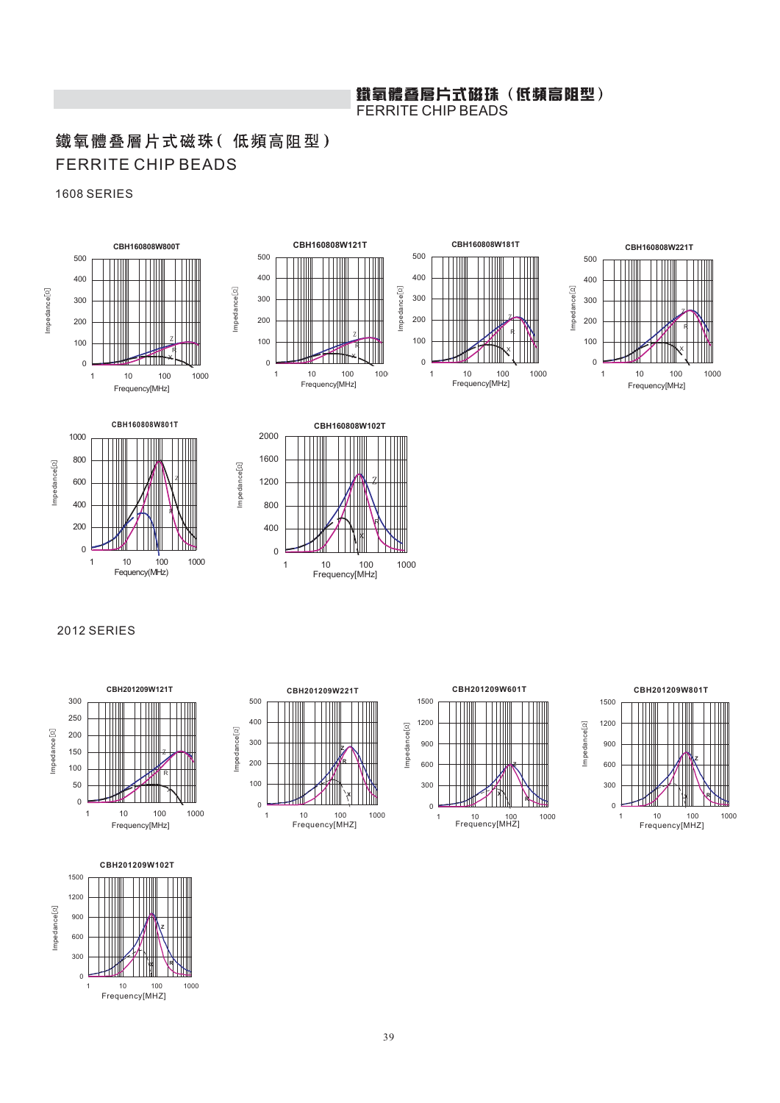# 鐵氧體叠層片式磁珠(低頻高阻型)<br>FERRITE CHIP BEADS

## 鐵氧體叠層片式磁珠(低頻高阻型) FERRITE CHIP BEADS

#### 1608 SERIES













Impedance

 $m$ pedance $[\Omega]$ 



#### 2012 SERIES











39